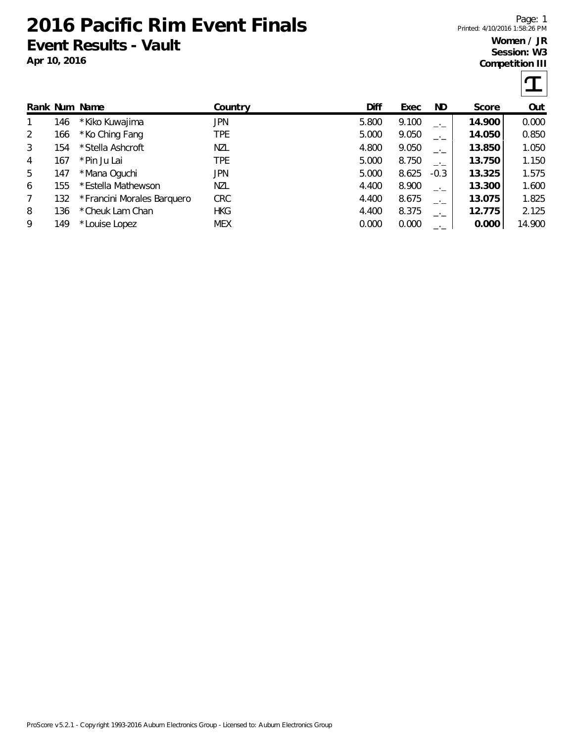**2016 Pacific Rim Event Finals Event Results - Vault**

6 155 \*Estella Mathewson NZL 4.400 8.900 \_.\_ **13.300** 1.600 7 132 \*Francini Morales Barquero CRC 4.400 8.675 \_.\_ **13.075** 1.825 8 136 \*Cheuk Lam Chan HKG 4.400 8.375 \_.\_ **12.775** 2.125 9 149 \*Louise Lopez MEX 0.000 0.000 \_.\_ **0.000** 14.900

**Apr 10, 2016**

Page: 1 Printed: 4/10/2016 1:58:26 PM

## **Women / JR Session: W3 Competition III**

|                |     |                  |            | <b>OUTING LITIOT LITT</b> |       |           |        |       |
|----------------|-----|------------------|------------|---------------------------|-------|-----------|--------|-------|
|                |     |                  |            |                           |       |           |        |       |
|                |     | Rank Num Name    | Country    | Diff                      | Exec  | ND        | Score  | Out   |
|                | 146 | * Kiko Kuwajima  | <b>JPN</b> | 5.800                     | 9.100 | $-1$      | 14.900 | 0.000 |
| $\overline{2}$ | 166 | *Ko Ching Fang   | TPE        | 5.000                     | 9.050 | $-1$      | 14.050 | 0.850 |
| 3              | 154 | *Stella Ashcroft | <b>NZL</b> | 4.800                     | 9.050 | $-$ ' $-$ | 13.850 | 1.050 |
| 4              | 167 | *Pin Ju Lai      | TPE        | 5.000                     | 8.750 | $-$ ' $-$ | 13.750 | 1.150 |
| 5              | 147 | *Mana Oquchi     | JPN        | 5.000                     | 8.625 | $-0.3$    | 13.325 | 1.575 |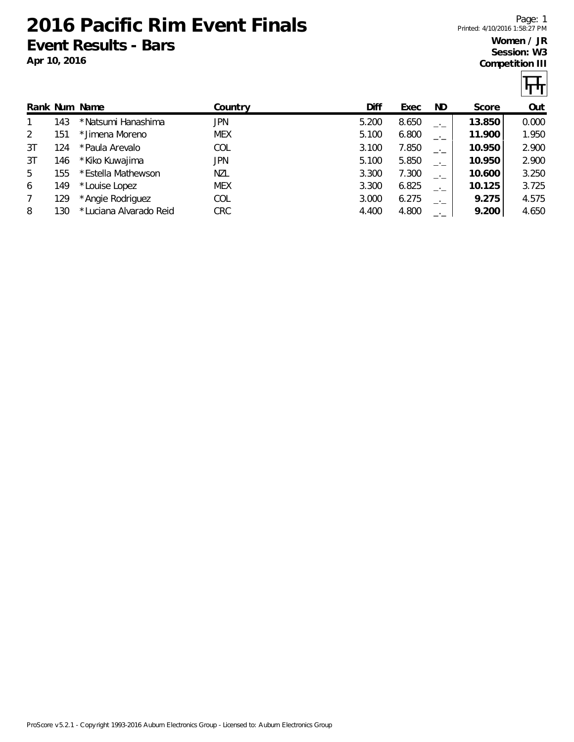**2016 Pacific Rim Event Finals Event Results - Bars**

**Apr 10, 2016**

Page: 1 Printed: 4/10/2016 1:58:27 PM

## **Women / JR Session: W3 Competition III**

|  | $\sim$ | т |  |  |
|--|--------|---|--|--|
|  |        |   |  |  |

ीपी

|    |     | Rank Num Name           | Country    | Diff  | Exec  | ND.  | Score  | Out   |
|----|-----|-------------------------|------------|-------|-------|------|--------|-------|
|    | 143 | * Natsumi Hanashima     | JPN        | 5.200 | 8.650 | $-1$ | 13.850 | 0.000 |
| 2  | 151 | *Jimena Moreno          | <b>MEX</b> | 5.100 | 6.800 |      | 11.900 | 1.950 |
| 3T | 124 | *Paula Arevalo          | <b>COL</b> | 3.100 | 7.850 | $-1$ | 10.950 | 2.900 |
| 3T | 146 | *Kiko Kuwajima          | JPN        | 5.100 | 5.850 | $-1$ | 10.950 | 2.900 |
| 5  | 155 | *Estella Mathewson      | NZL        | 3.300 | 7.300 |      | 10.600 | 3.250 |
| 6  | 149 | *Louise Lopez           | <b>MEX</b> | 3.300 | 6.825 | $-1$ | 10.125 | 3.725 |
| 7  | 129 | *Angie Rodriguez        | COL        | 3.000 | 6.275 | $-1$ | 9.275  | 4.575 |
| 8  | 130 | * Luciana Alvarado Reid | <b>CRC</b> | 4.400 | 4.800 |      | 9.200  | 4.650 |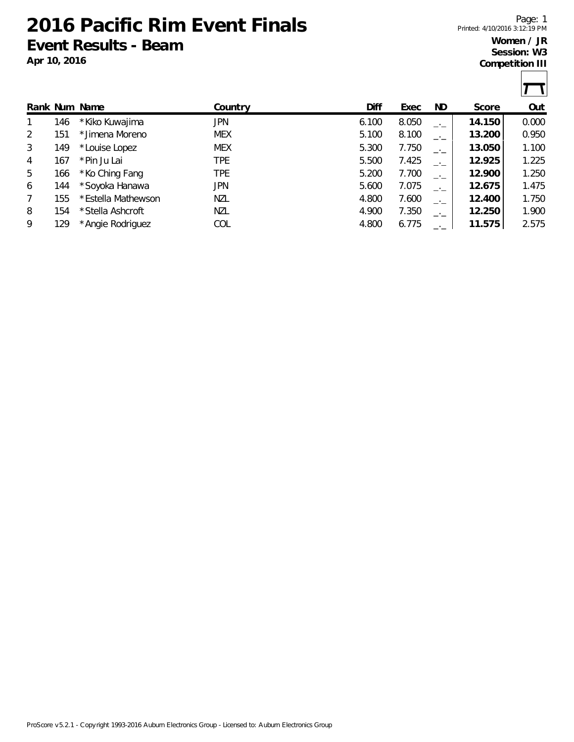**2016 Pacific Rim Event Finals Event Results - Beam**

Page: 1 Printed: 4/10/2016 3:12:19 PM

## **Women / JR Session: W3 Competition III**

Т

|                |     | Rank Num Name      | Country    | Diff  | Exec  | ND.  | Score  | Out   |
|----------------|-----|--------------------|------------|-------|-------|------|--------|-------|
|                | 146 | * Kiko Kuwajima    | <b>JPN</b> | 6.100 | 8.050 | $-1$ | 14.150 | 0.000 |
| $\overline{2}$ | 151 | * Jimena Moreno    | <b>MEX</b> | 5.100 | 8.100 | $-1$ | 13.200 | 0.950 |
| 3              | 149 | *Louise Lopez      | <b>MEX</b> | 5.300 | 7.750 | $-1$ | 13.050 | 1.100 |
| 4              | 167 | *Pin Ju Lai        | <b>TPE</b> | 5.500 | 7.425 | $-1$ | 12.925 | 1.225 |
| 5              | 166 | *Ko Ching Fang     | <b>TPE</b> | 5.200 | 7.700 | $-1$ | 12.900 | 1.250 |
| 6              | 144 | *Soyoka Hanawa     | <b>JPN</b> | 5.600 | 7.075 | $-1$ | 12.675 | 1.475 |
| 7              | 155 | *Estella Mathewson | <b>NZL</b> | 4.800 | 7.600 | $-1$ | 12.400 | 1.750 |
| 8              | 154 | *Stella Ashcroft   | <b>NZL</b> | 4.900 | 7.350 | $-1$ | 12.250 | 1.900 |
| 9              | 129 | *Angie Rodriguez   | COL        | 4.800 | 6.775 |      | 11.575 | 2.575 |